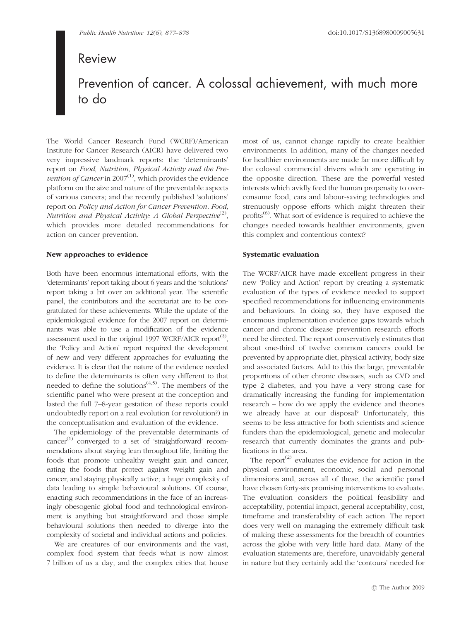# Review

# Prevention of cancer. A colossal achievement, with much more to do

The World Cancer Research Fund (WCRF)/American Institute for Cancer Research (AICR) have delivered two very impressive landmark reports: the 'determinants' report on Food, Nutrition, Physical Activity and the Prevention of Cancer in  $2007<sup>(1)</sup>$ , which provides the evidence platform on the size and nature of the preventable aspects of various cancers; and the recently published 'solutions' report on Policy and Action for Cancer Prevention. Food, Nutrition and Physical Activity: A Global Perspective<sup>(2)</sup>, which provides more detailed recommendations for action on cancer prevention.

## New approaches to evidence

Both have been enormous international efforts, with the 'determinants' report taking about 6 years and the 'solutions' report taking a bit over an additional year. The scientific panel, the contributors and the secretariat are to be congratulated for these achievements. While the update of the epidemiological evidence for the 2007 report on determinants was able to use a modification of the evidence assessment used in the original 1997 WCRF/AICR report<sup>(3)</sup>, the 'Policy and Action' report required the development of new and very different approaches for evaluating the evidence. It is clear that the nature of the evidence needed to define the determinants is often very different to that needed to define the solutions<sup> $(4,5)$ </sup>. The members of the scientific panel who were present at the conception and lasted the full 7–8-year gestation of these reports could undoubtedly report on a real evolution (or revolution?) in the conceptualisation and evaluation of the evidence.

The epidemiology of the preventable determinants of cancer $^{(1)}$  converged to a set of 'straightforward' recommendations about staying lean throughout life, limiting the foods that promote unhealthy weight gain and cancer, eating the foods that protect against weight gain and cancer, and staying physically active; a huge complexity of data leading to simple behavioural solutions. Of course, enacting such recommendations in the face of an increasingly obesogenic global food and technological environment is anything but straightforward and those simple behavioural solutions then needed to diverge into the complexity of societal and individual actions and policies.

We are creatures of our environments and the vast, complex food system that feeds what is now almost 7 billion of us a day, and the complex cities that house most of us, cannot change rapidly to create healthier environments. In addition, many of the changes needed for healthier environments are made far more difficult by the colossal commercial drivers which are operating in the opposite direction. These are the powerful vested interests which avidly feed the human propensity to overconsume food, cars and labour-saving technologies and strenuously oppose efforts which might threaten their profits<sup>(6)</sup>. What sort of evidence is required to achieve the changes needed towards healthier environments, given this complex and contentious context?

## Systematic evaluation

The WCRF/AICR have made excellent progress in their new 'Policy and Action' report by creating a systematic evaluation of the types of evidence needed to support specified recommendations for influencing environments and behaviours. In doing so, they have exposed the enormous implementation evidence gaps towards which cancer and chronic disease prevention research efforts need be directed. The report conservatively estimates that about one-third of twelve common cancers could be prevented by appropriate diet, physical activity, body size and associated factors. Add to this the large, preventable proportions of other chronic diseases, such as CVD and type 2 diabetes, and you have a very strong case for dramatically increasing the funding for implementation research – how do we apply the evidence and theories we already have at our disposal? Unfortunately, this seems to be less attractive for both scientists and science funders than the epidemiological, genetic and molecular research that currently dominates the grants and publications in the area.

The report<sup> $(2)$ </sup> evaluates the evidence for action in the physical environment, economic, social and personal dimensions and, across all of these, the scientific panel have chosen forty-six promising interventions to evaluate. The evaluation considers the political feasibility and acceptability, potential impact, general acceptability, cost, timeframe and transferability of each action. The report does very well on managing the extremely difficult task of making these assessments for the breadth of countries across the globe with very little hard data. Many of the evaluation statements are, therefore, unavoidably general in nature but they certainly add the 'contours' needed for